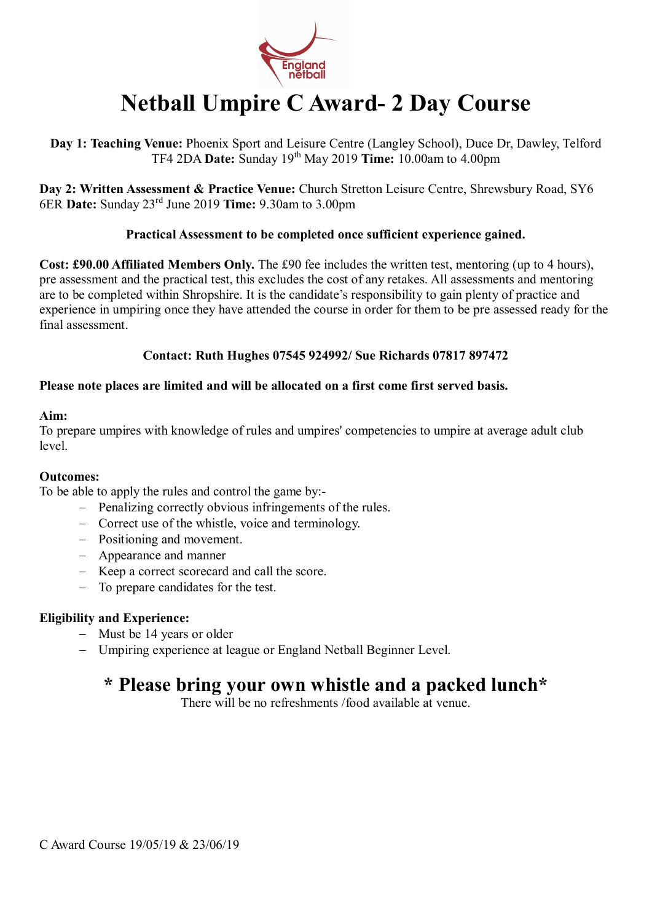

# **Netball Umpire C Award- 2 Day Course**

**Day 1: Teaching Venue:** Phoenix Sport and Leisure Centre (Langley School), Duce Dr, Dawley, Telford TF4 2DA **Date:** Sunday 19th May 2019 **Time:** 10.00am to 4.00pm

**Day 2: Written Assessment & Practice Venue:** Church Stretton Leisure Centre, Shrewsbury Road, SY6 6ER **Date:** Sunday 23rd June 2019 **Time:** 9.30am to 3.00pm

## **Practical Assessment to be completed once sufficient experience gained.**

**Cost: £90.00 Affiliated Members Only.** The £90 fee includes the written test, mentoring (up to 4 hours), pre assessment and the practical test, this excludes the cost of any retakes. All assessments and mentoring are to be completed within Shropshire. It is the candidate's responsibility to gain plenty of practice and experience in umpiring once they have attended the course in order for them to be pre assessed ready for the final assessment.

## **Contact: Ruth Hughes 07545 924992/ Sue Richards 07817 897472**

## **Please note places are limited and will be allocated on a first come first served basis.**

#### **Aim:**

To prepare umpires with knowledge of rules and umpires' competencies to umpire at average adult club level.

### **Outcomes:**

To be able to apply the rules and control the game by:-

- − Penalizing correctly obvious infringements of the rules.
- − Correct use of the whistle, voice and terminology.
- − Positioning and movement.
- − Appearance and manner
- − Keep a correct scorecard and call the score.
- − To prepare candidates for the test.

## **Eligibility and Experience:**

- − Must be 14 years or older
- − Umpiring experience at league or England Netball Beginner Level.

## **\* Please bring your own whistle and a packed lunch\***

There will be no refreshments /food available at venue.